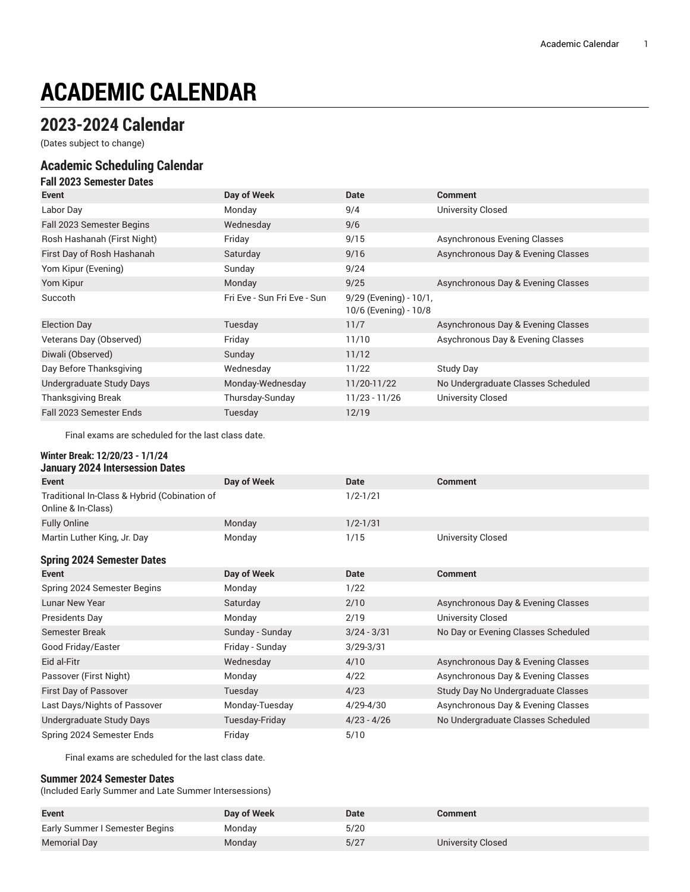# **ACADEMIC CALENDAR**

# **2023-2024 Calendar**

(Dates subject to change)

### **Academic Scheduling Calendar**

| <b>Fall 2023 Semester Dates</b> |                             |                                                 |                                    |
|---------------------------------|-----------------------------|-------------------------------------------------|------------------------------------|
| Event                           | Day of Week                 | Date                                            | <b>Comment</b>                     |
| Labor Day                       | Monday                      | 9/4                                             | University Closed                  |
| Fall 2023 Semester Begins       | Wednesday                   | 9/6                                             |                                    |
| Rosh Hashanah (First Night)     | Friday                      | 9/15                                            | Asynchronous Evening Classes       |
| First Day of Rosh Hashanah      | Saturday                    | 9/16                                            | Asynchronous Day & Evening Classes |
| Yom Kipur (Evening)             | Sunday                      | 9/24                                            |                                    |
| Yom Kipur                       | Monday                      | 9/25                                            | Asynchronous Day & Evening Classes |
| Succoth                         | Fri Eve - Sun Fri Eve - Sun | 9/29 (Evening) - 10/1,<br>10/6 (Evening) - 10/8 |                                    |
| <b>Election Day</b>             | Tuesday                     | 11/7                                            | Asynchronous Day & Evening Classes |
| Veterans Day (Observed)         | Friday                      | 11/10                                           | Asychronous Day & Evening Classes  |
| Diwali (Observed)               | Sunday                      | 11/12                                           |                                    |
| Day Before Thanksgiving         | Wednesday                   | 11/22                                           | Study Day                          |
| Undergraduate Study Days        | Monday-Wednesday            | 11/20-11/22                                     | No Undergraduate Classes Scheduled |
| <b>Thanksgiving Break</b>       | Thursday-Sunday             | 11/23 - 11/26                                   | <b>University Closed</b>           |
| Fall 2023 Semester Ends         | Tuesday                     | 12/19                                           |                                    |

Final exams are scheduled for the last class date.

#### **Winter Break: 12/20/23 - 1/1/24 January 2024 Intersession Dates**

| 0011001 1 EVET IIIWIJCJJIVII DUWJ                                  |                 |               |                                     |
|--------------------------------------------------------------------|-----------------|---------------|-------------------------------------|
| Event                                                              | Day of Week     | <b>Date</b>   | <b>Comment</b>                      |
| Traditional In-Class & Hybrid (Cobination of<br>Online & In-Class) |                 | $1/2 - 1/21$  |                                     |
| <b>Fully Online</b>                                                | Monday          | $1/2 - 1/31$  |                                     |
| Martin Luther King, Jr. Day                                        | Monday          | 1/15          | <b>University Closed</b>            |
| <b>Spring 2024 Semester Dates</b>                                  |                 |               |                                     |
| <b>Event</b>                                                       | Day of Week     | <b>Date</b>   | <b>Comment</b>                      |
| Spring 2024 Semester Begins                                        | Monday          | 1/22          |                                     |
| <b>Lunar New Year</b>                                              | Saturday        | 2/10          | Asynchronous Day & Evening Classes  |
| Presidents Day                                                     | Monday          | 2/19          | <b>University Closed</b>            |
| Semester Break                                                     | Sunday - Sunday | $3/24 - 3/31$ | No Day or Evening Classes Scheduled |
| Good Friday/Easter                                                 | Friday - Sunday | $3/29 - 3/31$ |                                     |
| Eid al-Fitr                                                        | Wednesday       | 4/10          | Asynchronous Day & Evening Classes  |
| Passover (First Night)                                             | Monday          | 4/22          | Asynchronous Day & Evening Classes  |
| First Day of Passover                                              | Tuesday         | 4/23          | Study Day No Undergraduate Classes  |
| Last Days/Nights of Passover                                       | Monday-Tuesday  | $4/29 - 4/30$ | Asynchronous Day & Evening Classes  |
| Undergraduate Study Days                                           | Tuesday-Friday  | $4/23 - 4/26$ | No Undergraduate Classes Scheduled  |
| Spring 2024 Semester Ends                                          | Friday          | 5/10          |                                     |

Final exams are scheduled for the last class date.

#### **Summer 2024 Semester Dates**

(Included Early Summer and Late Summer Intersessions)

| <b>Event</b>                   | Day of Week | Date | Comment                  |
|--------------------------------|-------------|------|--------------------------|
| Early Summer I Semester Begins | Mondav      | 5/20 |                          |
| <b>Memorial Day</b>            | Monday      | 5/27 | <b>University Closed</b> |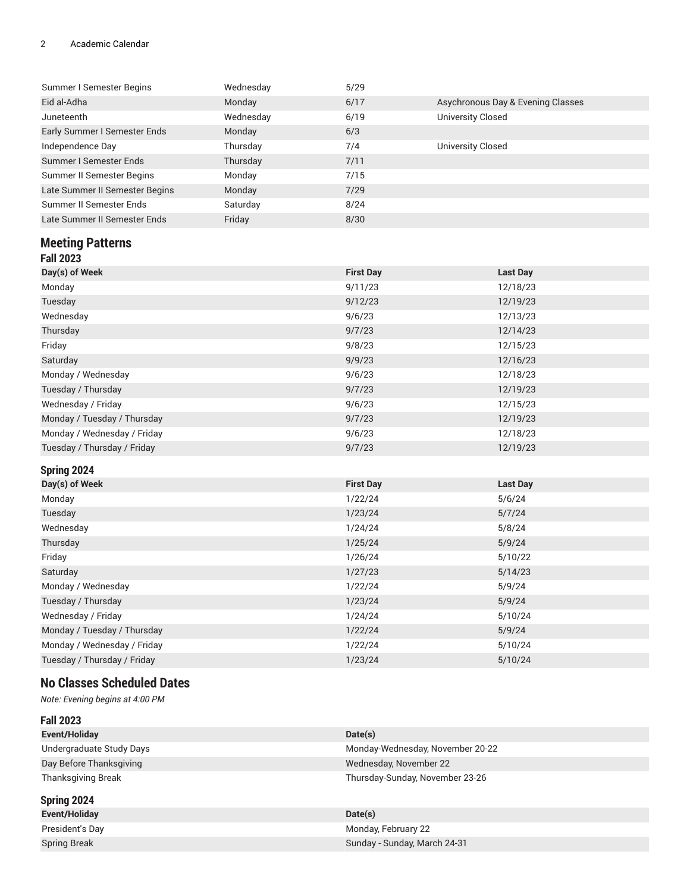#### 2 Academic Calendar

| Wednesday | 5/29 |                                   |
|-----------|------|-----------------------------------|
| Monday    | 6/17 | Asychronous Day & Evening Classes |
| Wednesday | 6/19 | University Closed                 |
| Monday    | 6/3  |                                   |
| Thursday  | 7/4  | University Closed                 |
| Thursday  | 7/11 |                                   |
| Monday    | 7/15 |                                   |
| Monday    | 7/29 |                                   |
| Saturday  | 8/24 |                                   |
| Friday    | 8/30 |                                   |
|           |      |                                   |

# **Meeting Patterns**

|--|--|

| Day(s) of Week              | <b>First Day</b> | <b>Last Day</b> |
|-----------------------------|------------------|-----------------|
| Monday                      | 9/11/23          | 12/18/23        |
| Tuesday                     | 9/12/23          | 12/19/23        |
| Wednesday                   | 9/6/23           | 12/13/23        |
| Thursday                    | 9/7/23           | 12/14/23        |
| Friday                      | 9/8/23           | 12/15/23        |
| Saturday                    | 9/9/23           | 12/16/23        |
| Monday / Wednesday          | 9/6/23           | 12/18/23        |
| Tuesday / Thursday          | 9/7/23           | 12/19/23        |
| Wednesday / Friday          | 9/6/23           | 12/15/23        |
| Monday / Tuesday / Thursday | 9/7/23           | 12/19/23        |
| Monday / Wednesday / Friday | 9/6/23           | 12/18/23        |
| Tuesday / Thursday / Friday | 9/7/23           | 12/19/23        |

#### **Spring 2024**

| ------ <sub>3</sub> ----    |                  |          |
|-----------------------------|------------------|----------|
| Day(s) of Week              | <b>First Day</b> | Last Day |
| Monday                      | 1/22/24          | 5/6/24   |
| Tuesday                     | 1/23/24          | 5/7/24   |
| Wednesday                   | 1/24/24          | 5/8/24   |
| Thursday                    | 1/25/24          | 5/9/24   |
| Friday                      | 1/26/24          | 5/10/22  |
| Saturday                    | 1/27/23          | 5/14/23  |
| Monday / Wednesday          | 1/22/24          | 5/9/24   |
| Tuesday / Thursday          | 1/23/24          | 5/9/24   |
| Wednesday / Friday          | 1/24/24          | 5/10/24  |
| Monday / Tuesday / Thursday | 1/22/24          | 5/9/24   |
| Monday / Wednesday / Friday | 1/22/24          | 5/10/24  |
| Tuesday / Thursday / Friday | 1/23/24          | 5/10/24  |

## **No Classes Scheduled Dates**

*Note: Evening begins at 4:00 PM*

| <b>Fall 2023</b>          |                                  |
|---------------------------|----------------------------------|
| Event/Holiday             | Date(s)                          |
| Undergraduate Study Days  | Monday-Wednesday, November 20-22 |
| Day Before Thanksgiving   | Wednesday, November 22           |
| <b>Thanksgiving Break</b> | Thursday-Sunday, November 23-26  |
| Spring 2024               |                                  |
| Event/Holiday             | Date(s)                          |
| President's Day           | Monday, February 22              |
| <b>Spring Break</b>       | Sunday - Sunday, March 24-31     |
|                           |                                  |